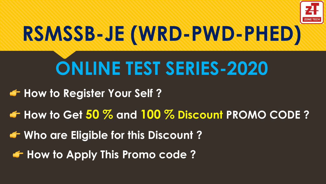

# **RSMSSB-JE (WRD-PWD-PHED)**

# **ONLINE TEST SERIES-2020**

**<del>F</del>** How to Register Your Self ?

**How to Get 50 % and 100 % Discount PROMO CODE ?**

**Who are Eligible for this Discount ?**

**<del>G</del>** How to Apply This Promo code?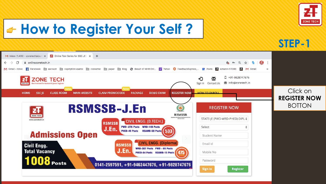

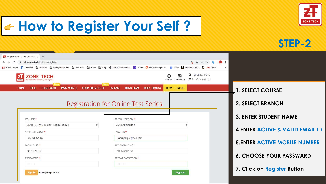

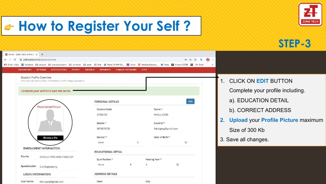

| Profile - ZONE TECH Online EX x +                                                                                                                                                                                                                            |                                                                            |                                         |                                                                    |
|--------------------------------------------------------------------------------------------------------------------------------------------------------------------------------------------------------------------------------------------------------------|----------------------------------------------------------------------------|-----------------------------------------|--------------------------------------------------------------------|
| onlinezonetech.in/Student/profile<br>C<br>$\leftarrow$ $\rightarrow$                                                                                                                                                                                         |                                                                            | <b>EE</b><br>$O_T$ $Q$<br>$\frac{1}{2}$ |                                                                    |
| M Gmail - Inbox   Facebook   aacount   copmption exams   converter   paper   Blog   Result of NHM Onl   Vahoo   C FeedbackExpress,   Posts   Z   Marazon STORE   Z   M Gmail<br><b>DASHBOARD</b><br><b>MY EXAM</b><br><b>NOTIFICATIONS</b><br><b>PROFILE</b> | <b>PACKAGE</b><br><b>PAYMENTS</b><br><b>CHANGE PASSWORD</b><br><b>HELP</b> |                                         |                                                                    |
| Student Profile Overview<br>Here you can update basic information, profile image, password.                                                                                                                                                                  |                                                                            |                                         | <b>CLICK ON EDIT BUTTON</b>                                        |
| Complete your profile to start test series.                                                                                                                                                                                                                  | PERSONAL DETAILS                                                           | Edit                                    | Complete your profile including.<br>a). EDUCATION DETAIL           |
| Please Upload Picture                                                                                                                                                                                                                                        | <b>Student Code</b><br>ST035187                                            | Name *<br><b>RAHUL GARG</b>             | b). CORRECT ADDRESS                                                |
|                                                                                                                                                                                                                                                              | Mobile *<br>9876576750                                                     | Email ID*<br>Rahulgarg@gmail.com        | <b>Upload your Profile Picture maximum</b><br>2.<br>Size of 300 Kb |
| Choose a file                                                                                                                                                                                                                                                | Gender*<br>$\hat{\div}$<br>none                                            | Date of Birth *<br>匾                    | 3. Save all changes.                                               |
| <b>ENROLLMENT INFORMATION</b>                                                                                                                                                                                                                                | <b>EDUCATIONAL DETAIL</b>                                                  |                                         |                                                                    |
| Course<br>STATE-JE (PWD-WRD-PHED) DIPI                                                                                                                                                                                                                       | Qualification *                                                            | Passing Year*                           |                                                                    |
| Specialization Civil Engineering                                                                                                                                                                                                                             | $\Omega$<br>None                                                           | 扁                                       |                                                                    |
| <b>LOGIN INFORMATION</b><br><b>User Name</b><br>Rahulgarg@gmail.com                                                                                                                                                                                          | <b>ADDRESS DETAILS</b><br>State                                            | City                                    |                                                                    |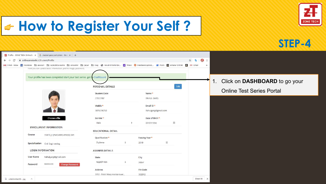



| Profile - ZONE TECH Online E   X   G   student pass port photo - Goc   X   +                                                                                                                                                                  |                                          |                                    |                                     |
|-----------------------------------------------------------------------------------------------------------------------------------------------------------------------------------------------------------------------------------------------|------------------------------------------|------------------------------------|-------------------------------------|
| m onlinezonetech.in/Student/Profile<br>C<br>$\leftarrow$ $\rightarrow$                                                                                                                                                                        |                                          | $\mathbf{H}$<br>☆ ■                |                                     |
| M Gmail - Inbox 14 Facebook El aaccunt El copmption exams El converter El paper El Blog @ Result of NHM Onl W Yahoo C FeedbackExpress, IP Posts El Amazon STORE EL M Gmail<br>Here you can update basic information, profile image, password. |                                          |                                    | $\rightarrow$                       |
| Your profile has been completed start your test series. got to Dashboard                                                                                                                                                                      |                                          |                                    | Click on DASHBOARD to go your<br>1. |
|                                                                                                                                                                                                                                               | PERSONAL DETAILS<br><b>Student Code</b>  | Edit<br>Name *                     | <b>Online Test Series Portal</b>    |
|                                                                                                                                                                                                                                               | ST035187                                 | RAHUL GARG                         |                                     |
|                                                                                                                                                                                                                                               | Mobile*<br>9876576750                    | Email ID *<br>Rahulgarg@gmail.com  |                                     |
| Choose a file                                                                                                                                                                                                                                 | Gender*<br>Male                          | Date of Birth *<br>繭<br>07/07/1994 |                                     |
| <b>ENROLLMENT INFORMATION</b>                                                                                                                                                                                                                 | <b>EDUCATIONAL DETAIL</b>                |                                    |                                     |
| Course<br>STATE-JE (PWD-WRD-PHED) DIPI                                                                                                                                                                                                        | Qualification *                          | Passing Year*                      |                                     |
| Specialization Civil Engineering                                                                                                                                                                                                              | Diploma                                  | 扁<br>2019                          |                                     |
| <b>LOGIN INFORMATION</b>                                                                                                                                                                                                                      | <b>ADDRESS DETAILS</b>                   |                                    |                                     |
| Rahulgarg@gmail.com<br><b>User Name</b>                                                                                                                                                                                                       | State                                    | City                               |                                     |
| ********<br>Password<br><b>Change Password</b>                                                                                                                                                                                                | RAJASTHAN                                | jaipur                             |                                     |
|                                                                                                                                                                                                                                               | Address<br>B/62 - Patel Marg mansarover, | Pin Code<br>302012                 |                                     |

Show All  $\times$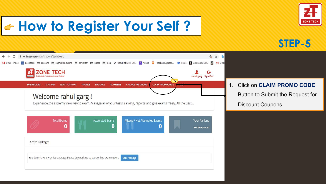

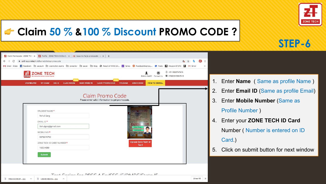

**STEP-6**

#### **Claim 50 % &100 % Discount PROMO CODE ?**

|                                                                                                                                             | M Gmail - Inbox   2 Facebook   aacount   copmption exams   converter   paper   Blog   Result of NHM Onl   y/ Yahoo   C FeedbackExpress,   Prosts   2 Amazon STORE   2   M |    |                                             |
|---------------------------------------------------------------------------------------------------------------------------------------------|---------------------------------------------------------------------------------------------------------------------------------------------------------------------------|----|---------------------------------------------|
| ONE TECH<br><b>Institute For Assistant A luting Frome</b><br><b>DASHBOARD</b><br><b>CLASS ROOM</b><br><b>MAIN WEBSITE</b><br><b>MY EXAM</b> | □ +91-9828747676<br>RAHUL GARG Contact Us W info@zonetech.in<br>HOW TO ENROLL<br><b>PACKAGE</b><br><b>DEMO EXAM</b><br><b>CLAIM PROMOCODE</b>                             |    | 1. Enter <b>Name</b> (Same as profile Name) |
|                                                                                                                                             |                                                                                                                                                                           | 2. | Enter Email ID (Same as profile Email)      |
|                                                                                                                                             | Claim Promo Code<br>Please enter valid information to get promocode.                                                                                                      |    | 3. Enter Mobile Number (Same as             |
| STUDENT NAME *                                                                                                                              |                                                                                                                                                                           |    | <b>Profile Number</b> )                     |
| Rahul Garg                                                                                                                                  |                                                                                                                                                                           | 4. | Enter your ZONE TECH ID Card                |
| EMAIL ID *<br>Rahulgarg@gmail.com                                                                                                           |                                                                                                                                                                           |    |                                             |
| MOBILE NO <sup>*</sup>                                                                                                                      |                                                                                                                                                                           |    | Number (Number is entered on ID             |
| 9876576750                                                                                                                                  |                                                                                                                                                                           |    | Card.)                                      |
| ZONE TECH ID CARD NUMBER *<br>18ZCH099                                                                                                      | <b>Jpload Zone Tech I</b><br>Card                                                                                                                                         |    |                                             |
|                                                                                                                                             |                                                                                                                                                                           |    | 5. Click on submit button for next window   |
| Submit                                                                                                                                      |                                                                                                                                                                           |    |                                             |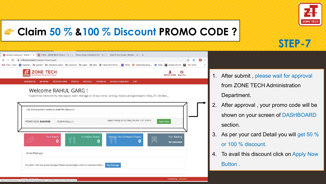

#### **Claim 50 % &100 % Discount PROMO CODE ?**

|                                                                              |                                                          |                                                                                                                         | 1 Gmail - Inbox ■ Facebook □ aacount □ copmption exams □ converter □ paper □ Blog ● Result of NHM Oni V Yahoo ● FeedbackExpress, ■ Posts ■ Amazon STORE ■ M Gmail |
|------------------------------------------------------------------------------|----------------------------------------------------------|-------------------------------------------------------------------------------------------------------------------------|-------------------------------------------------------------------------------------------------------------------------------------------------------------------|
| <b>ZONE TECH</b><br>ZONE TECH<br>Best Institute For Assistant & Junior Engin |                                                          |                                                                                                                         | œ<br>RAHUL GARG Sign Out                                                                                                                                          |
| <b>DASHBOARD</b><br><b>MY EXAM</b>                                           | <b>NOTIFICATIONS</b><br><b>PROFILE</b><br><b>PACKAGE</b> | <b>PAYMENTS</b><br><b>CHANGE PASSWORD</b><br><b>HELP</b>                                                                |                                                                                                                                                                   |
|                                                                              | <b>Welcome RAHUL GARG!</b>                               |                                                                                                                         |                                                                                                                                                                   |
|                                                                              |                                                          | Experience the extremly new way to exam. Manage all of your tests, ranking, reports and give exams freely. All the Best |                                                                                                                                                                   |
|                                                                              |                                                          |                                                                                                                         |                                                                                                                                                                   |
|                                                                              |                                                          |                                                                                                                         |                                                                                                                                                                   |
| Use below promo codes to avail the discount                                  |                                                          |                                                                                                                         |                                                                                                                                                                   |
|                                                                              |                                                          |                                                                                                                         |                                                                                                                                                                   |
| PROMO CODE: RJtSX6H50                                                        | 50.00 % Discount                                         | RAJASTHAN-JE (DIPLOMA) ONLINE TEST SERIES                                                                               | <b>Apply Now</b>                                                                                                                                                  |
|                                                                              |                                                          |                                                                                                                         |                                                                                                                                                                   |
| <b>Total Exams</b>                                                           | Attempted Exams                                          | Missed / Not Attempted Exams                                                                                            | Your Ranking                                                                                                                                                      |
|                                                                              | 0                                                        | Q<br>$\bf{0}$                                                                                                           | an.<br><b>Not Announced</b>                                                                                                                                       |
| <b>Active Packages</b>                                                       |                                                          |                                                                                                                         |                                                                                                                                                                   |

https://onlinezonetech.in/student/confirmpackage?qid=tJoFCW1PLzSf3lTsZsFGXw%3D%3D

Powered By: Verbyste

- After submit, please wait for approval from ZONE TECH Administration Department.
- After approval, your promo code will be shown on your screen of DASHBOARD section.
- As per your card Detail you will get 50 % or 100 % discount.
- To avail this discount click on Apply Now Button .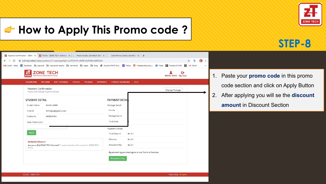### **<del>G</del>** How to Apply This Promo code?



## **STEP-8**



- 1. Paste your **promo code** in this promo code section and click on Apply Button
- 2. After applying you will se the **discount amount** in Discount Section

@ 2020 ZONE TECH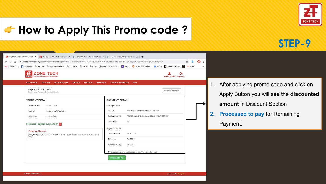### **How to Apply This Promo code ?**



## **STEP-9**

| <b>ZONE TECH</b><br>괽<br><b>Best Institute For Assistant &amp; Junior Engineer</b><br><b>ZONE TECH</b>                 | G<br>RAHUL GARG Sign Out                                                                                       |
|------------------------------------------------------------------------------------------------------------------------|----------------------------------------------------------------------------------------------------------------|
| <b>DASHBOARD</b><br><b>MY EXAM</b><br><b>NOTIFICATIONS</b><br><b>PROFILE</b><br>PACKAGE                                | <b>PAYMENTS</b><br><b>CHANGE PASSWORD</b><br><b>HELP</b>                                                       |
| <b>Payment Confirmation</b><br>Payee and Package Payment Details                                                       | Change Package                                                                                                 |
| <b>STUDENT DETAIL</b><br>Student Name<br>RAHUL GARG<br>Email Id<br>Rahulgarg@gmail.com                                 | <b>PAYMENT DETAIL</b><br>Package Detail<br>STATE-JE (PWD-WRD-PHED) DIPLOMA<br>Course                           |
| Mobile No.<br>9876576750<br>Promocode applied successfully. X                                                          | Package Name<br>RAJASTHAN-JE (DIPLOMA) ONLINE TEST SERIES<br>40<br><b>Total Tests</b>                          |
| <b>Exclusive Discount</b><br>Are you a (Ex) ZONE TECH Student? To avail exclusive offer contact to ZONE TECH<br>Office | Payment Details<br>Rs. 1000 /-<br><b>Total Amount</b><br>Rs. 500 /-<br>Discount<br>Amount to Pay<br>Rs. 500 /- |
|                                                                                                                        | By proceeding you must agree to our Terms of Services.                                                         |

- After applying promo code and click on Apply Button you will see the **discounted amount** in Discount Section
- **2. Processed to pay** for Remaining

Payment.

Powered By : Verbyster